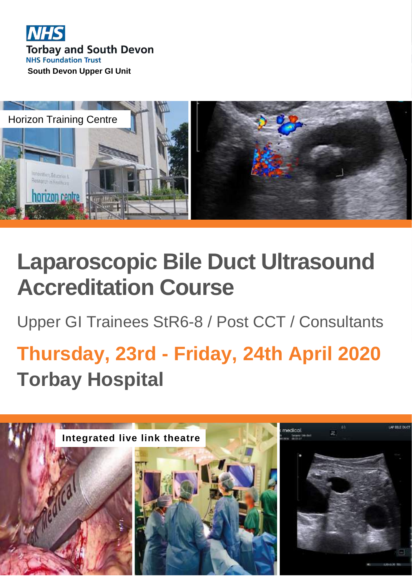



# **Laparoscopic Bile Duct Ultrasound Accreditation Course**

Upper GI Trainees StR6-8 / Post CCT / Consultants

# **Thursday, 23rd - Friday, 24th April 2020 Torbay Hospital**

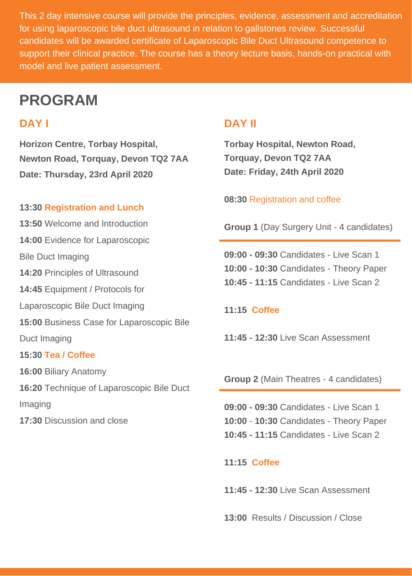This 2 day intensive course will provide the principles, evidence, assessment and accreditation for using laparoscopic bile duct ultrasound in relation to gallstones review. Successful candidates will be awarded certificate of Laparoscopic Bile Duct Ultrasound competence to support their clinical practice. The course has a theory lecture basis, hands-on practical with model and live patient assessment.

# **PROGRAM**

**Horizon Centre, Torbay Hospital, Newton Road, Torquay, Devon TQ2 7AA Date: Thursday, 23rd April 2020**

#### **13:30 Registration and Lunch**

**13:50** Welcome and Introduction **14:00** Evidence for Laparoscopic Bile Duct Imaging **14:20** Principles of Ultrasound **14:45** Equipment / Protocols for Laparoscopic Bile Duct Imaging **15:00** Business Case for Laparoscopic Bile Duct Imaging **15:30 Tea / Coffee 16:00** Biliary Anatomy **16:20** Technique of Laparoscopic Bile Duct Imaging

**17:30** Discussion and close

## **DAY I DAY II**

**Torbay Hospital, Newton Road, Torquay, Devon TQ2 7AA Date: Friday, 24th April 2020**

**08:30** Registration and coffee

**Group 1** (Day Surgery Unit - 4 candidates)

**09:00 - 09:30** Candidates -Live Scan 1 **10:00 - 10:30** Candidates -Theory Paper **10:45 - 11:15** Candidates -Live Scan 2

#### **11:15 Coffee**

**11:45 - 12:30** Live Scan Assessment

**Group 2** (Main Theatres - 4 candidates)

**09:00 - 09:30** Candidates -Live Scan 1 **10:00** - **10:30** Candidates -Theory Paper **10:45 - 11:15** Candidates -Live Scan 2

**11:15 Coffee**

**11:45 - 12:30** Live Scan Assessment

**13:00** Results / Discussion / Close